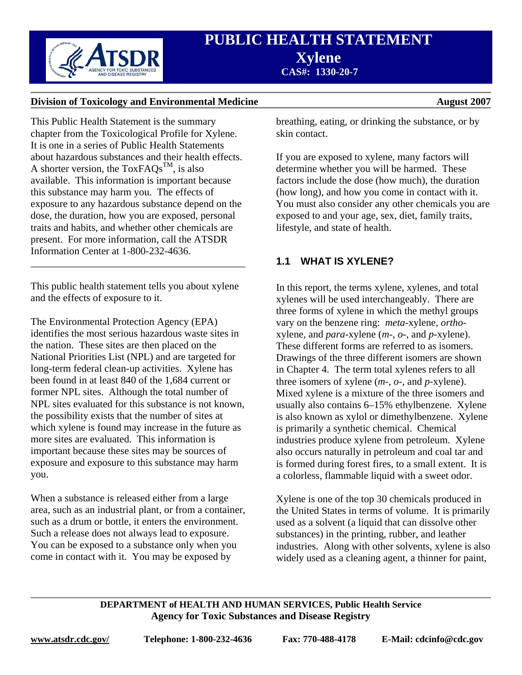

### **Division of Toxicology and Environmental Medicine August 2007** August 2007

This Public Health Statement is the summary chapter from the Toxicological Profile for Xylene. It is one in a series of Public Health Statements about hazardous substances and their health effects. A shorter version, the ToxFAQs<sup>TM</sup>, is also available. This information is important because this substance may harm you. The effects of exposure to any hazardous substance depend on the dose, the duration, how you are exposed, personal traits and habits, and whether other chemicals are present. For more information, call the ATSDR Information Center at 1-800-232-4636.

This public health statement tells you about xylene and the effects of exposure to it.

\_\_\_\_\_\_\_\_\_\_\_\_\_\_\_\_\_\_\_\_\_\_\_\_\_\_\_\_\_\_\_\_\_\_\_\_\_\_\_\_\_\_

The Environmental Protection Agency (EPA) identifies the most serious hazardous waste sites in the nation. These sites are then placed on the National Priorities List (NPL) and are targeted for long-term federal clean-up activities. Xylene has been found in at least 840 of the 1,684 current or former NPL sites. Although the total number of NPL sites evaluated for this substance is not known, the possibility exists that the number of sites at which xylene is found may increase in the future as more sites are evaluated. This information is important because these sites may be sources of exposure and exposure to this substance may harm you.

When a substance is released either from a large area, such as an industrial plant, or from a container, such as a drum or bottle, it enters the environment. Such a release does not always lead to exposure. You can be exposed to a substance only when you come in contact with it. You may be exposed by

breathing, eating, or drinking the substance, or by skin contact.

If you are exposed to xylene, many factors will determine whether you will be harmed. These factors include the dose (how much), the duration (how long), and how you come in contact with it. You must also consider any other chemicals you are exposed to and your age, sex, diet, family traits, lifestyle, and state of health.

# **1.1 WHAT IS XYLENE?**

In this report, the terms xylene, xylenes, and total xylenes will be used interchangeably. There are three forms of xylene in which the methyl groups vary on the benzene ring: *meta*-xylene, *ortho*xylene, and *para*-xylene (*m*-, *o*-, and *p*-xylene). These different forms are referred to as isomers. Drawings of the three different isomers are shown in Chapter 4. The term total xylenes refers to all three isomers of xylene (*m*-, *o*-, and *p*-xylene). Mixed xylene is a mixture of the three isomers and usually also contains 6–15% ethylbenzene. Xylene is also known as xylol or dimethylbenzene. Xylene is primarily a synthetic chemical. Chemical industries produce xylene from petroleum. Xylene also occurs naturally in petroleum and coal tar and is formed during forest fires, to a small extent. It is a colorless, flammable liquid with a sweet odor.

Xylene is one of the top 30 chemicals produced in the United States in terms of volume. It is primarily used as a solvent (a liquid that can dissolve other substances) in the printing, rubber, and leather industries. Along with other solvents, xylene is also widely used as a cleaning agent, a thinner for paint,

#### **DEPARTMENT of HEALTH AND HUMAN SERVICES, Public Health Service Agency for Toxic Substances and Disease Registry**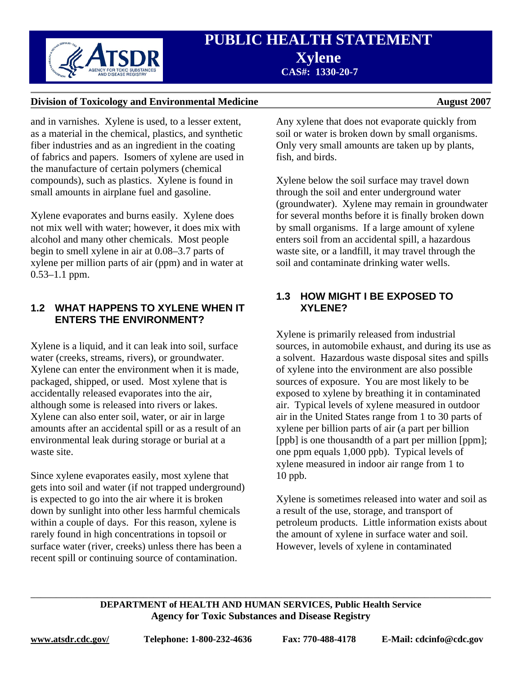

### **Division of Toxicology and Environmental Medicine August 2007** August 2007

and in varnishes. Xylene is used, to a lesser extent, as a material in the chemical, plastics, and synthetic fiber industries and as an ingredient in the coating of fabrics and papers. Isomers of xylene are used in the manufacture of certain polymers (chemical compounds), such as plastics. Xylene is found in small amounts in airplane fuel and gasoline.

Xylene evaporates and burns easily. Xylene does not mix well with water; however, it does mix with alcohol and many other chemicals. Most people begin to smell xylene in air at 0.08–3.7 parts of xylene per million parts of air (ppm) and in water at 0.53–1.1 ppm.

# **1.2 WHAT HAPPENS TO XYLENE WHEN IT ENTERS THE ENVIRONMENT?**

Xylene is a liquid, and it can leak into soil, surface water (creeks, streams, rivers), or groundwater. Xylene can enter the environment when it is made, packaged, shipped, or used. Most xylene that is accidentally released evaporates into the air, although some is released into rivers or lakes. Xylene can also enter soil, water, or air in large amounts after an accidental spill or as a result of an environmental leak during storage or burial at a waste site.

Since xylene evaporates easily, most xylene that gets into soil and water (if not trapped underground) is expected to go into the air where it is broken down by sunlight into other less harmful chemicals within a couple of days. For this reason, xylene is rarely found in high concentrations in topsoil or surface water (river, creeks) unless there has been a recent spill or continuing source of contamination.

Any xylene that does not evaporate quickly from soil or water is broken down by small organisms. Only very small amounts are taken up by plants, fish, and birds.

Xylene below the soil surface may travel down through the soil and enter underground water (groundwater). Xylene may remain in groundwater for several months before it is finally broken down by small organisms. If a large amount of xylene enters soil from an accidental spill, a hazardous waste site, or a landfill, it may travel through the soil and contaminate drinking water wells.

# **1.3 HOW MIGHT I BE EXPOSED TO XYLENE?**

Xylene is primarily released from industrial sources, in automobile exhaust, and during its use as a solvent. Hazardous waste disposal sites and spills of xylene into the environment are also possible sources of exposure. You are most likely to be exposed to xylene by breathing it in contaminated air. Typical levels of xylene measured in outdoor air in the United States range from 1 to 30 parts of xylene per billion parts of air (a part per billion [ppb] is one thousandth of a part per million [ppm]; one ppm equals 1,000 ppb). Typical levels of xylene measured in indoor air range from 1 to 10 ppb.

Xylene is sometimes released into water and soil as a result of the use, storage, and transport of petroleum products. Little information exists about the amount of xylene in surface water and soil. However, levels of xylene in contaminated

#### \_\_\_\_\_\_\_\_\_\_\_\_\_\_\_\_\_\_\_\_\_\_\_\_\_\_\_\_\_\_\_\_\_\_\_\_\_\_\_\_\_\_\_\_\_\_\_\_\_\_\_\_\_\_\_\_\_\_\_\_\_\_\_\_\_\_\_\_\_\_\_\_\_\_\_\_\_\_\_\_\_\_\_\_\_\_\_\_\_\_ **DEPARTMENT of HEALTH AND HUMAN SERVICES, Public Health Service Agency for Toxic Substances and Disease Registry**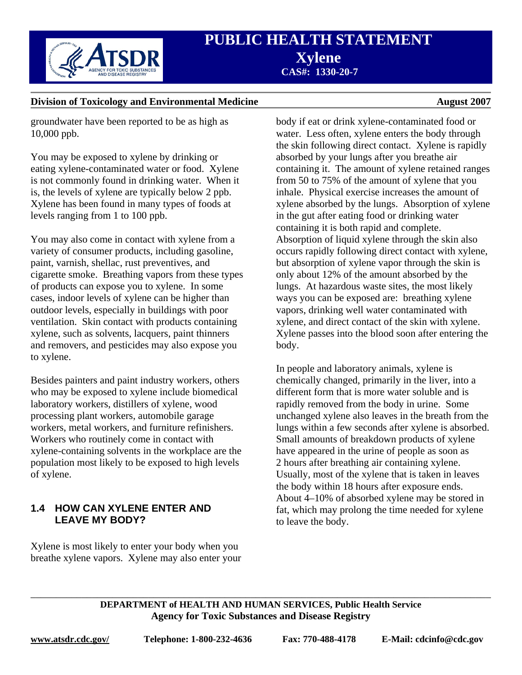

### **Division of Toxicology and Environmental Medicine August 2007** August 2007

groundwater have been reported to be as high as 10,000 ppb.

You may be exposed to xylene by drinking or eating xylene-contaminated water or food. Xylene is not commonly found in drinking water. When it is, the levels of xylene are typically below 2 ppb. Xylene has been found in many types of foods at levels ranging from 1 to 100 ppb.

You may also come in contact with xylene from a variety of consumer products, including gasoline, paint, varnish, shellac, rust preventives, and cigarette smoke. Breathing vapors from these types of products can expose you to xylene. In some cases, indoor levels of xylene can be higher than outdoor levels, especially in buildings with poor ventilation. Skin contact with products containing xylene, such as solvents, lacquers, paint thinners and removers, and pesticides may also expose you to xylene.

Besides painters and paint industry workers, others who may be exposed to xylene include biomedical laboratory workers, distillers of xylene, wood processing plant workers, automobile garage workers, metal workers, and furniture refinishers. Workers who routinely come in contact with xylene-containing solvents in the workplace are the population most likely to be exposed to high levels of xylene.

# **1.4 HOW CAN XYLENE ENTER AND LEAVE MY BODY?**

Xylene is most likely to enter your body when you breathe xylene vapors. Xylene may also enter your body if eat or drink xylene-contaminated food or water. Less often, xylene enters the body through the skin following direct contact. Xylene is rapidly absorbed by your lungs after you breathe air containing it. The amount of xylene retained ranges from 50 to 75% of the amount of xylene that you inhale. Physical exercise increases the amount of xylene absorbed by the lungs. Absorption of xylene in the gut after eating food or drinking water containing it is both rapid and complete. Absorption of liquid xylene through the skin also occurs rapidly following direct contact with xylene, but absorption of xylene vapor through the skin is only about 12% of the amount absorbed by the lungs. At hazardous waste sites, the most likely ways you can be exposed are: breathing xylene vapors, drinking well water contaminated with xylene, and direct contact of the skin with xylene. Xylene passes into the blood soon after entering the body.

In people and laboratory animals, xylene is chemically changed, primarily in the liver, into a different form that is more water soluble and is rapidly removed from the body in urine. Some unchanged xylene also leaves in the breath from the lungs within a few seconds after xylene is absorbed. Small amounts of breakdown products of xylene have appeared in the urine of people as soon as 2 hours after breathing air containing xylene. Usually, most of the xylene that is taken in leaves the body within 18 hours after exposure ends. About 4–10% of absorbed xylene may be stored in fat, which may prolong the time needed for xylene to leave the body.

**DEPARTMENT of HEALTH AND HUMAN SERVICES, Public Health Service Agency for Toxic Substances and Disease Registry** 

\_\_\_\_\_\_\_\_\_\_\_\_\_\_\_\_\_\_\_\_\_\_\_\_\_\_\_\_\_\_\_\_\_\_\_\_\_\_\_\_\_\_\_\_\_\_\_\_\_\_\_\_\_\_\_\_\_\_\_\_\_\_\_\_\_\_\_\_\_\_\_\_\_\_\_\_\_\_\_\_\_\_\_\_\_\_\_\_\_\_

**www.atsdr.cdc.gov/ Telephone: 1-800-232-4636 Fax: 770-488-4178 E-Mail: cdcinfo@cdc.gov**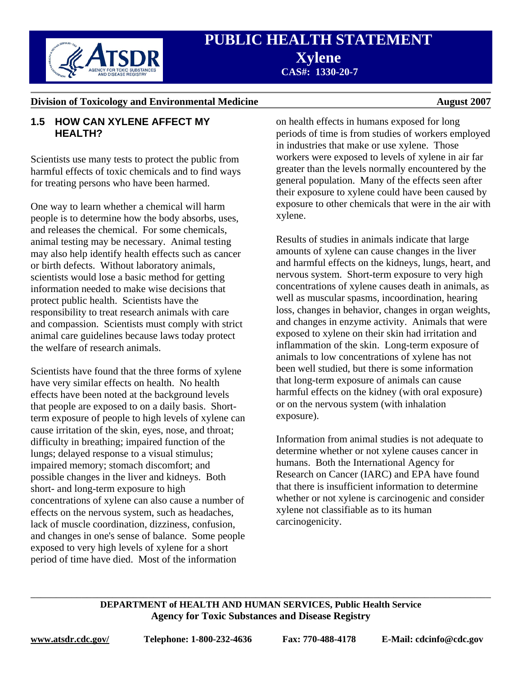

# **PUBLIC HEALTH STATEMENT**  *EXPLATEDRED REPAIR SEPARATED REPAIR SEPARATED REPAIR SEPARATED CASH:* **1330-20-7**

#### **Division of Toxicology and Environmental Medicine August 2007** August 2007

### **1.5 HOW CAN XYLENE AFFECT MY HEALTH?**

Scientists use many tests to protect the public from harmful effects of toxic chemicals and to find ways for treating persons who have been harmed.

One way to learn whether a chemical will harm people is to determine how the body absorbs, uses, and releases the chemical. For some chemicals, animal testing may be necessary. Animal testing may also help identify health effects such as cancer or birth defects. Without laboratory animals, scientists would lose a basic method for getting information needed to make wise decisions that protect public health. Scientists have the responsibility to treat research animals with care and compassion. Scientists must comply with strict animal care guidelines because laws today protect the welfare of research animals.

Scientists have found that the three forms of xylene have very similar effects on health. No health effects have been noted at the background levels that people are exposed to on a daily basis. Shortterm exposure of people to high levels of xylene can cause irritation of the skin, eyes, nose, and throat; difficulty in breathing; impaired function of the lungs; delayed response to a visual stimulus; impaired memory; stomach discomfort; and possible changes in the liver and kidneys. Both short- and long-term exposure to high concentrations of xylene can also cause a number of effects on the nervous system, such as headaches, lack of muscle coordination, dizziness, confusion, and changes in one's sense of balance. Some people exposed to very high levels of xylene for a short period of time have died. Most of the information

on health effects in humans exposed for long periods of time is from studies of workers employed in industries that make or use xylene. Those workers were exposed to levels of xylene in air far greater than the levels normally encountered by the general population. Many of the effects seen after their exposure to xylene could have been caused by exposure to other chemicals that were in the air with xylene.

Results of studies in animals indicate that large amounts of xylene can cause changes in the liver and harmful effects on the kidneys, lungs, heart, and nervous system. Short-term exposure to very high concentrations of xylene causes death in animals, as well as muscular spasms, incoordination, hearing loss, changes in behavior, changes in organ weights, and changes in enzyme activity. Animals that were exposed to xylene on their skin had irritation and inflammation of the skin. Long-term exposure of animals to low concentrations of xylene has not been well studied, but there is some information that long-term exposure of animals can cause harmful effects on the kidney (with oral exposure) or on the nervous system (with inhalation exposure).

Information from animal studies is not adequate to determine whether or not xylene causes cancer in humans. Both the International Agency for Research on Cancer (IARC) and EPA have found that there is insufficient information to determine whether or not xylene is carcinogenic and consider xylene not classifiable as to its human carcinogenicity.

#### **DEPARTMENT of HEALTH AND HUMAN SERVICES, Public Health Service Agency for Toxic Substances and Disease Registry**

| /www.atsdr.cdc.gov | Telephone: 1-800-232-4636 | Fax: 770-488-4178 | E-Mail: cdcinfo@cdc.gov |
|--------------------|---------------------------|-------------------|-------------------------|
|--------------------|---------------------------|-------------------|-------------------------|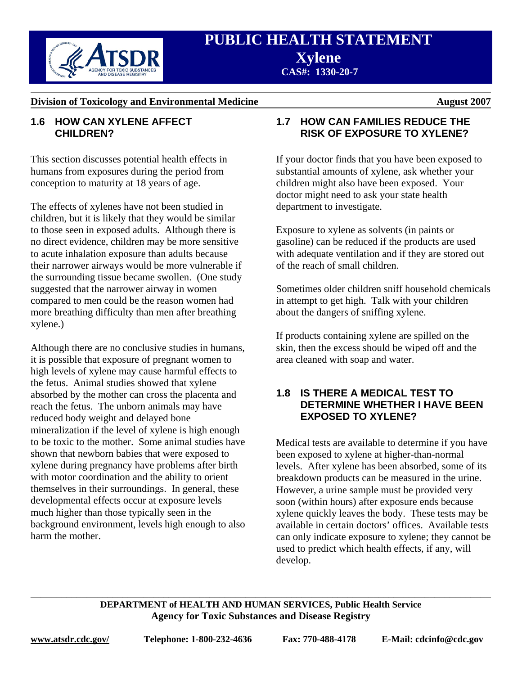

# **PUBLIC HEALTH STATEMENT**  *Xylene***<br>
<b>EXIMPLE CAS#: 1330-20-7**<br>
CAS#: 1330-20-7

#### **Division of Toxicology and Environmental Medicine August 2007** August 2007

### **1.6 HOW CAN XYLENE AFFECT CHILDREN?**

This section discusses potential health effects in humans from exposures during the period from conception to maturity at 18 years of age.

The effects of xylenes have not been studied in children, but it is likely that they would be similar to those seen in exposed adults. Although there is no direct evidence, children may be more sensitive to acute inhalation exposure than adults because their narrower airways would be more vulnerable if the surrounding tissue became swollen. (One study suggested that the narrower airway in women compared to men could be the reason women had more breathing difficulty than men after breathing xylene.)

Although there are no conclusive studies in humans, it is possible that exposure of pregnant women to high levels of xylene may cause harmful effects to the fetus. Animal studies showed that xylene absorbed by the mother can cross the placenta and reach the fetus. The unborn animals may have reduced body weight and delayed bone mineralization if the level of xylene is high enough to be toxic to the mother. Some animal studies have shown that newborn babies that were exposed to xylene during pregnancy have problems after birth with motor coordination and the ability to orient themselves in their surroundings. In general, these developmental effects occur at exposure levels much higher than those typically seen in the background environment, levels high enough to also harm the mother.

# **1.7 HOW CAN FAMILIES REDUCE THE RISK OF EXPOSURE TO XYLENE?**

If your doctor finds that you have been exposed to substantial amounts of xylene, ask whether your children might also have been exposed. Your doctor might need to ask your state health department to investigate.

Exposure to xylene as solvents (in paints or gasoline) can be reduced if the products are used with adequate ventilation and if they are stored out of the reach of small children.

Sometimes older children sniff household chemicals in attempt to get high. Talk with your children about the dangers of sniffing xylene.

If products containing xylene are spilled on the skin, then the excess should be wiped off and the area cleaned with soap and water.

# **1.8 IS THERE A MEDICAL TEST TO DETERMINE WHETHER I HAVE BEEN EXPOSED TO XYLENE?**

Medical tests are available to determine if you have been exposed to xylene at higher-than-normal levels. After xylene has been absorbed, some of its breakdown products can be measured in the urine. However, a urine sample must be provided very soon (within hours) after exposure ends because xylene quickly leaves the body. These tests may be available in certain doctors' offices. Available tests can only indicate exposure to xylene; they cannot be used to predict which health effects, if any, will develop.

**DEPARTMENT of HEALTH AND HUMAN SERVICES, Public Health Service Agency for Toxic Substances and Disease Registry**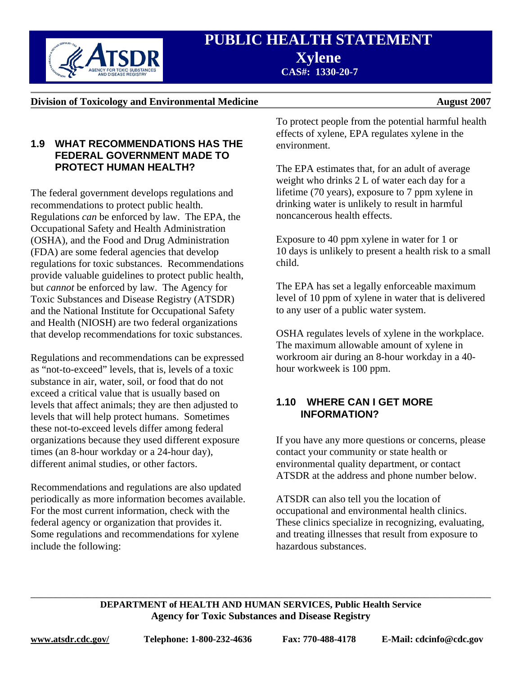

#### **Division of Toxicology and Environmental Medicine August 2007**

# **1.9 WHAT RECOMMENDATIONS HAS THE FEDERAL GOVERNMENT MADE TO PROTECT HUMAN HEALTH?**

The federal government develops regulations and recommendations to protect public health. Regulations *can* be enforced by law. The EPA, the Occupational Safety and Health Administration (OSHA), and the Food and Drug Administration (FDA) are some federal agencies that develop regulations for toxic substances. Recommendations provide valuable guidelines to protect public health, but *cannot* be enforced by law. The Agency for Toxic Substances and Disease Registry (ATSDR) and the National Institute for Occupational Safety and Health (NIOSH) are two federal organizations that develop recommendations for toxic substances.

Regulations and recommendations can be expressed as "not-to-exceed" levels, that is, levels of a toxic substance in air, water, soil, or food that do not exceed a critical value that is usually based on levels that affect animals; they are then adjusted to levels that will help protect humans. Sometimes these not-to-exceed levels differ among federal organizations because they used different exposure times (an 8-hour workday or a 24-hour day), different animal studies, or other factors.

Recommendations and regulations are also updated periodically as more information becomes available. For the most current information, check with the federal agency or organization that provides it. Some regulations and recommendations for xylene include the following:

To protect people from the potential harmful health effects of xylene, EPA regulates xylene in the environment.

The EPA estimates that, for an adult of average weight who drinks 2 L of water each day for a lifetime (70 years), exposure to 7 ppm xylene in drinking water is unlikely to result in harmful noncancerous health effects.

Exposure to 40 ppm xylene in water for 1 or 10 days is unlikely to present a health risk to a small child.

The EPA has set a legally enforceable maximum level of 10 ppm of xylene in water that is delivered to any user of a public water system.

OSHA regulates levels of xylene in the workplace. The maximum allowable amount of xylene in workroom air during an 8-hour workday in a 40 hour workweek is 100 ppm.

# **1.10 WHERE CAN I GET MORE INFORMATION?**

If you have any more questions or concerns, please contact your community or state health or environmental quality department, or contact ATSDR at the address and phone number below.

ATSDR can also tell you the location of occupational and environmental health clinics. These clinics specialize in recognizing, evaluating, and treating illnesses that result from exposure to hazardous substances.

#### **DEPARTMENT of HEALTH AND HUMAN SERVICES, Public Health Service Agency for Toxic Substances and Disease Registry**